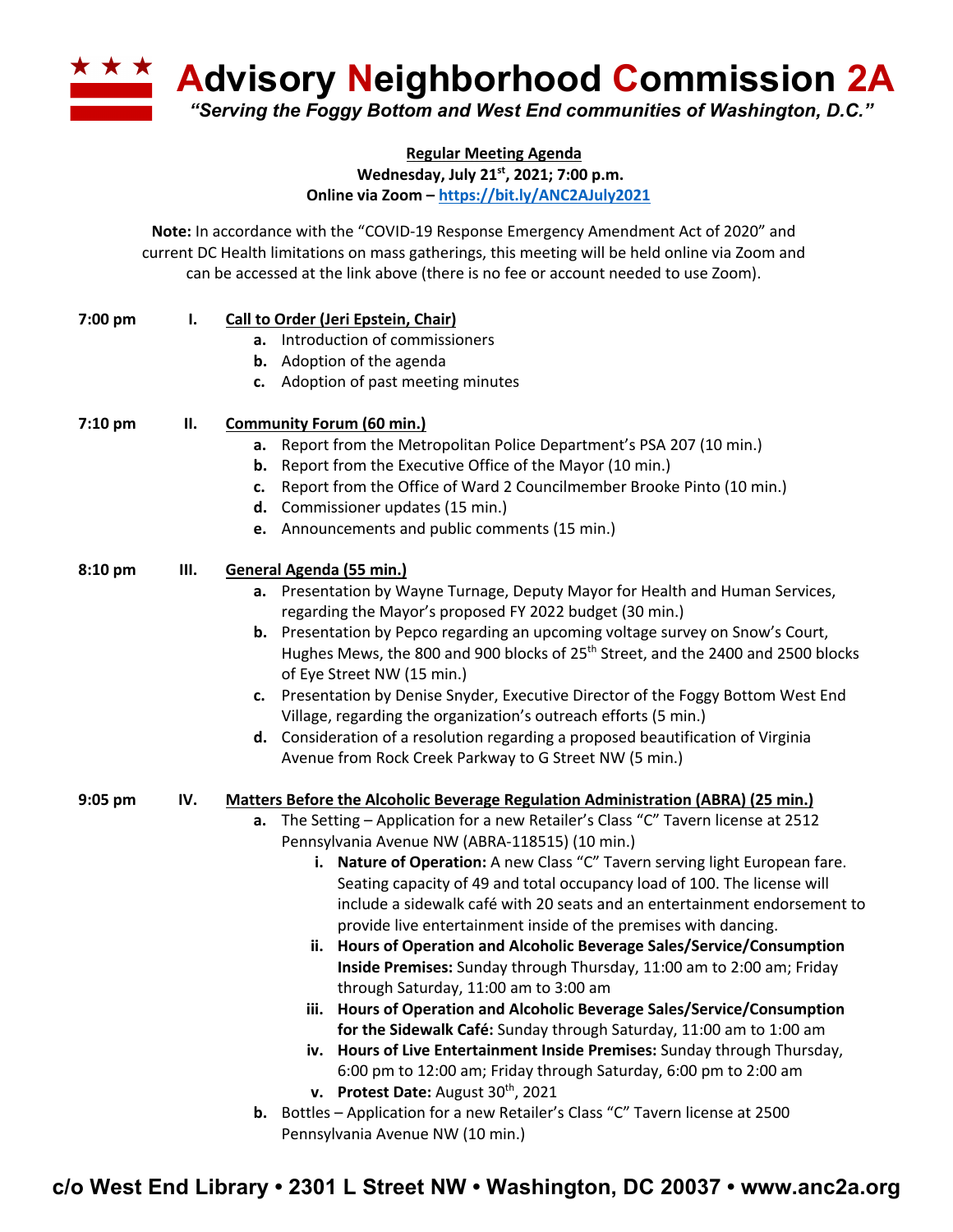**A Advisory Neighborhood Commission 2A** *"Serving the Foggy Bottom and West End communities of Washington, D.C."*

**Regular Meeting Agenda**

**Wednesday, July 21st, 2021; 7:00 p.m.**

**Online via Zoom – https://bit.ly/ANC2AJuly2021**

**Note:** In accordance with the "COVID-19 Response Emergency Amendment Act of 2020" and current DC Health limitations on mass gatherings, this meeting will be held online via Zoom and can be accessed at the link above (there is no fee or account needed to use Zoom).

| 7:00 pm | Ι.  | <b>Call to Order (Jeri Epstein, Chair)</b>                                                                                               |
|---------|-----|------------------------------------------------------------------------------------------------------------------------------------------|
|         |     | Introduction of commissioners<br>а.                                                                                                      |
|         |     | <b>b.</b> Adoption of the agenda                                                                                                         |
|         |     | c. Adoption of past meeting minutes                                                                                                      |
| 7:10 pm | н.  | <b>Community Forum (60 min.)</b>                                                                                                         |
|         |     | Report from the Metropolitan Police Department's PSA 207 (10 min.)<br>а.                                                                 |
|         |     | Report from the Executive Office of the Mayor (10 min.)<br>b.                                                                            |
|         |     | Report from the Office of Ward 2 Councilmember Brooke Pinto (10 min.)<br>c.                                                              |
|         |     | d. Commissioner updates (15 min.)                                                                                                        |
|         |     | e. Announcements and public comments (15 min.)                                                                                           |
| 8:10 pm | Ш.  | General Agenda (55 min.)                                                                                                                 |
|         |     | a. Presentation by Wayne Turnage, Deputy Mayor for Health and Human Services,<br>regarding the Mayor's proposed FY 2022 budget (30 min.) |
|         |     | b. Presentation by Pepco regarding an upcoming voltage survey on Snow's Court,                                                           |
|         |     | Hughes Mews, the 800 and 900 blocks of 25 <sup>th</sup> Street, and the 2400 and 2500 blocks                                             |
|         |     | of Eye Street NW (15 min.)                                                                                                               |
|         |     | c. Presentation by Denise Snyder, Executive Director of the Foggy Bottom West End                                                        |
|         |     | Village, regarding the organization's outreach efforts (5 min.)                                                                          |
|         |     | d. Consideration of a resolution regarding a proposed beautification of Virginia                                                         |
|         |     | Avenue from Rock Creek Parkway to G Street NW (5 min.)                                                                                   |
| 9:05 pm | IV. | <b>Matters Before the Alcoholic Beverage Regulation Administration (ABRA) (25 min.)</b>                                                  |
|         |     | The Setting - Application for a new Retailer's Class "C" Tavern license at 2512<br>а.                                                    |
|         |     | Pennsylvania Avenue NW (ABRA-118515) (10 min.)                                                                                           |
|         |     | i. Nature of Operation: A new Class "C" Tavern serving light European fare.                                                              |
|         |     | Seating capacity of 49 and total occupancy load of 100. The license will                                                                 |
|         |     | include a sidewalk café with 20 seats and an entertainment endorsement to                                                                |
|         |     | provide live entertainment inside of the premises with dancing.                                                                          |
|         |     | ii. Hours of Operation and Alcoholic Beverage Sales/Service/Consumption                                                                  |
|         |     | Inside Premises: Sunday through Thursday, 11:00 am to 2:00 am; Friday                                                                    |
|         |     | through Saturday, 11:00 am to 3:00 am                                                                                                    |
|         |     | iii. Hours of Operation and Alcoholic Beverage Sales/Service/Consumption                                                                 |
|         |     | for the Sidewalk Café: Sunday through Saturday, 11:00 am to 1:00 am                                                                      |
|         |     | iv. Hours of Live Entertainment Inside Premises: Sunday through Thursday,                                                                |
|         |     | 6:00 pm to 12:00 am; Friday through Saturday, 6:00 pm to 2:00 am                                                                         |
|         |     | v. Protest Date: August 30 <sup>th</sup> , 2021                                                                                          |
|         |     | <b>b.</b> Bottles - Application for a new Retailer's Class "C" Tavern license at 2500                                                    |
|         |     | Pennsylvania Avenue NW (10 min.)                                                                                                         |

**c/o West End Library • 2301 L Street NW • Washington, DC 20037 • www.anc2a.org**